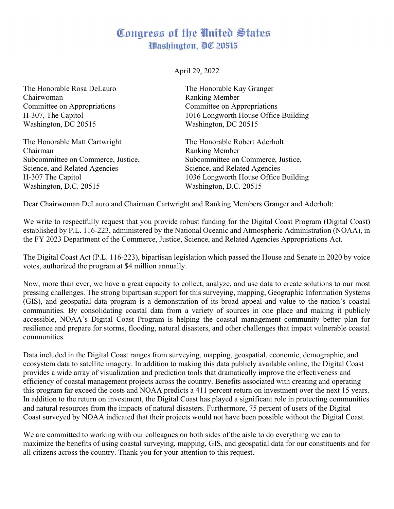## Congress of the United States Washington, DC 20515

The Honorable Rosa DeLauro The Honorable Kay Granger Chairwoman Ranking Member Committee on Appropriations Committee on Appropriations Washington, DC 20515 Washington, DC 20515

The Honorable Matt Cartwright The Honorable Robert Aderholt Chairman Ranking Member Science, and Related Agencies Science, and Related Agencies Washington, D.C. 20515 Washington, D.C. 20515

April 29, 2022

H-307, The Capitol 1016 Longworth House Office Building

Subcommittee on Commerce, Justice, Subcommittee on Commerce, Justice, H-307 The Capitol 1036 Longworth House Office Building

Dear Chairwoman DeLauro and Chairman Cartwright and Ranking Members Granger and Aderholt:

We write to respectfully request that you provide robust funding for the Digital Coast Program (Digital Coast) established by P.L. 116-223, administered by the National Oceanic and Atmospheric Administration (NOAA), in the FY 2023 Department of the Commerce, Justice, Science, and Related Agencies Appropriations Act.

The Digital Coast Act (P.L. 116-223), bipartisan legislation which passed the House and Senate in 2020 by voice votes, authorized the program at \$4 million annually.

Now, more than ever, we have a great capacity to collect, analyze, and use data to create solutions to our most pressing challenges. The strong bipartisan support for this surveying, mapping, Geographic Information Systems (GIS), and geospatial data program is a demonstration of its broad appeal and value to the nation's coastal communities. By consolidating coastal data from a variety of sources in one place and making it publicly accessible, NOAA's Digital Coast Program is helping the coastal management community better plan for resilience and prepare for storms, flooding, natural disasters, and other challenges that impact vulnerable coastal communities.

Data included in the Digital Coast ranges from surveying, mapping, geospatial, economic, demographic, and ecosystem data to satellite imagery. In addition to making this data publicly available online, the Digital Coast provides a wide array of visualization and prediction tools that dramatically improve the effectiveness and efficiency of coastal management projects across the country. Benefits associated with creating and operating this program far exceed the costs and NOAA predicts a 411 percent return on investment over the next 15 years. In addition to the return on investment, the Digital Coast has played a significant role in protecting communities and natural resources from the impacts of natural disasters. Furthermore, 75 percent of users of the Digital Coast surveyed by NOAA indicated that their projects would not have been possible without the Digital Coast.

We are committed to working with our colleagues on both sides of the aisle to do everything we can to maximize the benefits of using coastal surveying, mapping, GIS, and geospatial data for our constituents and for all citizens across the country. Thank you for your attention to this request.